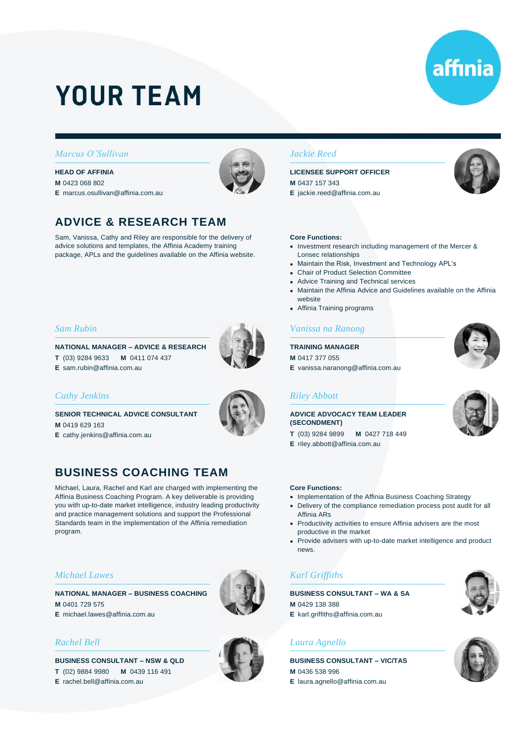# **YOUR TEAM**



#### *Marcus O'Sullivan*

**HEAD OF AFFINIA M** 0423 068 802 **E** [marcus.osullivan@affinia.com.au](mailto:marcus.osullivan@affinia.com.au)



Sam, Vanissa, Cathy and Riley are responsible for the delivery of advice solutions and templates, the Affinia Academy training package, APLs and the guidelines available on the Affinia website.

#### *Sam Rubin*

#### **NATIONAL MANAGER – ADVICE & RESEARCH**

**T** (03) 9284 9633 **M** 0411 074 437

**E** [sam.rubin@affinia.com.au](mailto:sam.rubin@affinia.com.au)

#### *Cathy Jenkins*

**SENIOR TECHNICAL ADVICE CONSULTANT M** 0419 629 163 **E** [cathy.jenkins@affinia.com.au](mailto:cathy.jenkins@affinia.com.au)

# **BUSINESS COACHING TEAM**

Michael, Laura, Rachel and Karl are charged with implementing the Affinia Business Coaching Program. A key deliverable is providing you with up-to-date market intelligence, industry leading productivity and practice management solutions and support the Professional Standards team in the implementation of the Affinia remediation program.

#### *Michael Lawes*

#### **NATIONAL MANAGER – BUSINESS COACHING M** 0401 729 575 **E** [michael.lawes@affinia.com.au](mailto:michael.lawes@affinia.com.au)

#### *Rachel Bell*

**BUSINESS CONSULTANT – NSW & QLD T** (02) 9884 9980 **M** 0439 116 491 **E** [rachel.bell@affinia.com.au](mailto:rachel.bell@affinia.com.au)





#### *Jackie Reed*

**LICENSEE SUPPORT OFFICER M** 0437 157 343

**E** [jackie.reed@affinia.com.au](mailto:jackie.reed@affinia.com.au)



#### **Core Functions:**

- Investment research including management of the Mercer & Lonsec relationships
- Maintain the Risk, Investment and Technology APL's
- Chair of Product Selection Committee
- Advice Training and Technical services
- Maintain the Affinia Advice and Guidelines available on the Affinia website
- Affinia Training programs

#### *Vanissa na Ranong*

#### **TRAINING MANAGER**

**M** 0417 377 055 **E** [vanissa.naranong@affinia.com.au](mailto:vanissa.naranong@affinia.com.au)

#### *Riley Abbott*

**ADVICE ADVOCACY TEAM LEADER (SECONDMENT)**

- **T** (03) 9284 9899 **M** 0427 718 449
- **E** [riley.abbott@affinia.com.au](mailto:riley.abbott@affinia.com.au)





#### **Core Functions:**

- Implementation of the Affinia Business Coaching Strategy
- Delivery of the compliance remediation process post audit for all Affinia ARs
- Productivity activities to ensure Affinia advisers are the most productive in the market
- Provide advisers with up-to-date market intelligence and product news.

#### *Karl Griffiths*

**BUSINESS CONSULTANT – WA & SA**

- **M** 0429 138 388
- **E** [karl.griffiths@affinia.com.au](mailto:karl.griffiths@affinia.com.au)

#### *Laura Agnello*

**BUSINESS CONSULTANT – VIC/TAS M** 0436 538 996 **E** [laura.agnello@affinia.com.au](mailto:laura.agnello@affinia.com.au)



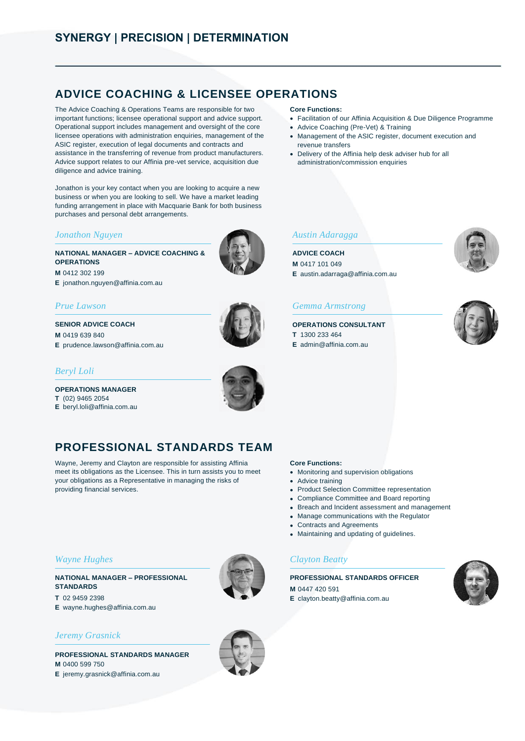# **ADVICE COACHING & LICENSEE OPERATIONS**

The Advice Coaching & Operations Teams are responsible for two important functions; licensee operational support and advice support. Operational support includes management and oversight of the core licensee operations with administration enquiries, management of the ASIC register, execution of legal documents and contracts and assistance in the transferring of revenue from product manufacturers. Advice support relates to our Affinia pre-vet service, acquisition due diligence and advice training.

Jonathon is your key contact when you are looking to acquire a new business or when you are looking to sell. We have a market leading funding arrangement in place with Macquarie Bank for both business purchases and personal debt arrangements.

#### *Jonathon Nguyen*

**NATIONAL MANAGER – ADVICE COACHING & OPERATIONS M** 0412 302 199 **E** [jonathon.nguyen@affinia.com.au](mailto:jonathon.nguyen@affinia.com.au)

#### *Prue Lawson*

**SENIOR ADVICE COACH M** 0419 639 840 **E** [prudence.lawson@affinia.com.au](mailto:prudence.lawson@affinia.com.au)

#### *Beryl Loli*

**OPERATIONS MANAGER T** (02) 9465 2054 **E** [beryl.loli@affinia.com.au](mailto:beryl.loli@affinia.com.au)



# **PROFESSIONAL STANDARDS TEAM**

Wayne, Jeremy and Clayton are responsible for assisting Affinia meet its obligations as the Licensee. This in turn assists you to meet your obligations as a Representative in managing the risks of providing financial services.

#### *Wayne Hughes*

#### **NATIONAL MANAGER – PROFESSIONAL STANDARDS**

**T** 02 9459 2398

**E** [wayne.hughes@affinia.com.au](mailto:wayne.hughes@affinia.com.au)

#### *Jeremy Grasnick*

**PROFESSIONAL STANDARDS MANAGER M** 0400 599 750 **E** [jeremy.grasnick@affinia.com.au](mailto:jeremy.grasnick@affinia.com.au)





- Facilitation of our Affinia Acquisition & Due Diligence Programme
- Advice Coaching (Pre-Vet) & Training
- Management of the ASIC register, document execution and revenue transfers
- Delivery of the Affinia help desk adviser hub for all administration/commission enquiries

#### *Austin Adaragga*

#### **ADVICE COACH M** 0417 101 049

**E** [austin.adarraga@affinia.com.au](mailto:austin.adarraga@affinia.com.au)

#### *Gemma Armstrong*

**OPERATIONS CONSULTANT T** 1300 233 464 **E** [admin@affinia.com.au](mailto:admin@affinia.com.au)



- **Core Functions:**
- Monitoring and supervision obligations
- Advice training
- Product Selection Committee representation
- Compliance Committee and Board reporting
- Breach and Incident assessment and management
- Manage communications with the Regulator
- Contracts and Agreements
- Maintaining and updating of guidelines.

#### *Clayton Beatty*

#### **PROFESSIONAL STANDARDS OFFICER**

- **M** 0447 420 591
- **E** [clayton.beatty@affinia.com.au](mailto:clayton.beatty@affinia.com.au)

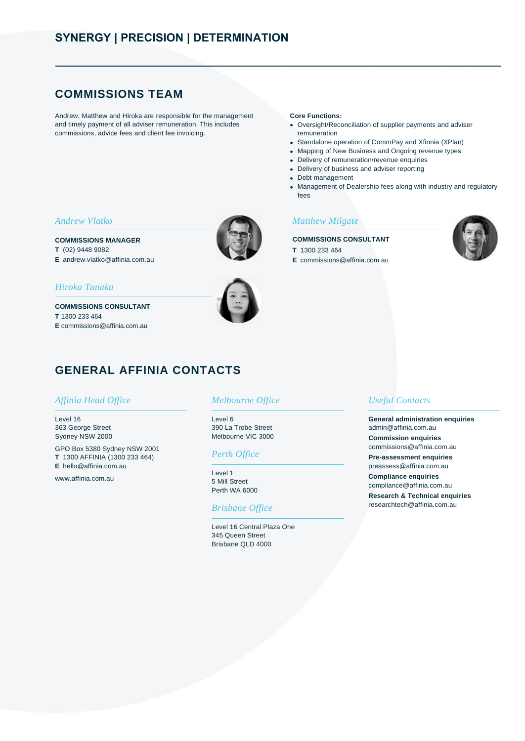## **COMMISSIONS TEAM**

Andrew, Matthew and Hiroka are responsible for the management and timely payment of all adviser remuneration. This includes commissions, advice fees and client fee invoicing.

#### **Core Functions:**

- Oversight/Reconciliation of supplier payments and adviser remuneration
- Standalone operation of CommPay and Xfinnia (XPlan)
- Mapping of New Business and Ongoing revenue types
- Delivery of remuneration/revenue enquiries
- Delivery of business and adviser reporting
- Debt management
- Management of Dealership fees along with industry and regulatory fees

#### *Matthew Milgate*

#### **COMMISSIONS CONSULTANT**

- **T** 1300 233 464
- **E** [commissions@affinia.com.au](mailto:commissions@affinia.com.au)



#### *Andrew Vlatko*

#### **COMMISSIONS MANAGER**

- **T** (02) 9448 9082
- **E** [andrew.vlatko@affinia.com.au](mailto:andrew.vlatko@affinia.com.au)

#### *Hiroka Tanaka*

**COMMISSIONS CONSULTANT T** 1300 233 464 **E** [commissions@affinia.com.au](mailto:commissions@affinia.com.au)



# **GENERAL AFFINIA CONTACTS**

#### *Affinia Head Office*

Level 16 363 George Street Sydney NSW 2000

GPO Box 5380 Sydney NSW 2001 **T** 1300 AFFINIA (1300 233 464) **E** hello@affinia.com.au

www.affinia.com.au

#### *Melbourne Office*

Level 6 390 La Trobe Street Melbourne VIC 3000

#### *Perth Office*

Level 1 5 Mill Street Perth WA 6000

#### *Brisbane Office*

Level 16 Central Plaza One 345 Queen Street Brisbane QLD 4000

#### *Useful Contacts*

**General administration enquiries** admin@affinia.com.au **Commission enquiries** commissions@affinia.com.au

**Pre-assessment enquiries** preassess@affinia.com.au **Compliance enquiries** compliance@affinia.com.au **Research & Technical enquiries**  researchtech@affinia.com.au